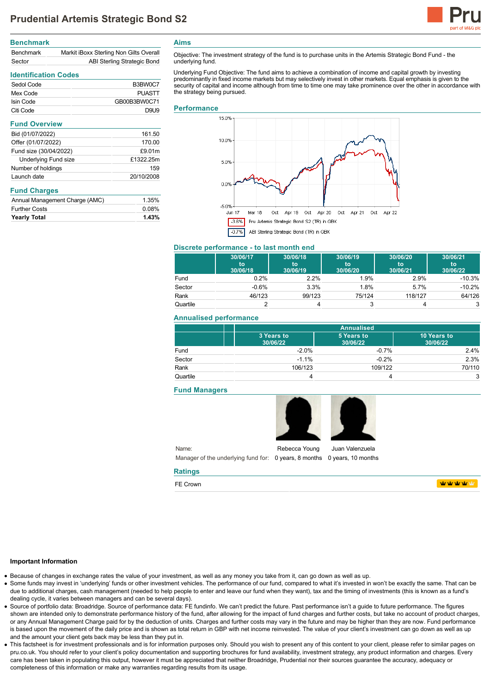

# **Benchmark** Benchmark Markit iBoxx Sterling Non Gilts Overall Sector **ABI Sterling Strategic Bond**

## **Identification Codes**

| Sedol Code | B3BW0C7       |
|------------|---------------|
| Mex Code   | <b>PUASTT</b> |
| Isin Code  | GB00B3BW0C71  |
| Citi Code  | DQI 19        |

## **Fund Overview**

| Bid (01/07/2022)            | 161.50     |
|-----------------------------|------------|
| Offer (01/07/2022)          | 170.00     |
| Fund size (30/04/2022)      | £9.01m     |
| <b>Underlying Fund size</b> | £1322.25m  |
| Number of holdings          | 159        |
| Launch date                 | 20/10/2008 |

## **Fund Charges**

| <b>Further Costs</b>           | 0.08% |
|--------------------------------|-------|
| <b>Yearly Total</b>            | 1.43% |
| Annual Management Charge (AMC) | 1.35% |

**Aims**

Objective: The investment strategy of the fund is to purchase units in the Artemis Strategic Bond Fund - the underlying fund.

Underlying Fund Objective: The fund aims to achieve a combination of income and capital growth by investing predominantly in fixed income markets but may selectively invest in other markets. Equal emphasis is given to the security of capital and income although from time to time one may take prominence over the other in accordance with the strategy being pursued.

## **Performance**



# **Discrete performance - to last month end**

|          | 30/06/17<br>to<br>30/06/18 | 30/06/18<br>to<br>30/06/19 | 30/06/19<br>to<br>30/06/20 | 30/06/20<br>to<br>30/06/21 | 30/06/21<br>to<br>30/06/22 |
|----------|----------------------------|----------------------------|----------------------------|----------------------------|----------------------------|
| Fund     | $0.2\%$                    | 2.2%                       | 1.9%                       | 2.9%                       | $-10.3%$                   |
| Sector   | $-0.6%$                    | 3.3%                       | 1.8%                       | 5.7%                       | $-10.2%$                   |
| Rank     | 46/123                     | 99/123                     | 75/124                     | 118/127                    | 64/126                     |
| Quartile |                            |                            | 3                          |                            | 3                          |

# **Annualised performance**

|          | <b>Annualised</b>      |                        |                         |
|----------|------------------------|------------------------|-------------------------|
|          | 3 Years to<br>30/06/22 | 5 Years to<br>30/06/22 | 10 Years to<br>30/06/22 |
| Fund     | $-2.0%$                | $-0.7%$                | 2.4%                    |
| Sector   | $-1.1%$                | $-0.2%$                | 2.3%                    |
| Rank     | 106/123                | 109/122                | 70/110                  |
| Quartile |                        |                        | 3                       |

## **Fund Managers**





**WWWWW** 

## **Important Information**

Because of changes in exchange rates the value of your investment, as well as any money you take from it, can go down as well as up.

**Ratings** FE Crown

- Some funds may invest in 'underlying' funds or other investment vehicles. The performance of our fund, compared to what it's invested in won't be exactly the same. That can be due to additional charges, cash management (needed to help people to enter and leave our fund when they want), tax and the timing of investments (this is known as a fund's dealing cycle, it varies between managers and can be several days).
- Source of portfolio data: Broadridge. Source of performance data: FE fundinfo. We can't predict the future. Past performance isn't a guide to future performance. The figures shown are intended only to demonstrate performance history of the fund, after allowing for the impact of fund charges and further costs, but take no account of product charges, or any Annual Management Charge paid for by the deduction of units. Charges and further costs may vary in the future and may be higher than they are now. Fund performance is based upon the movement of the daily price and is shown as total return in GBP with net income reinvested. The value of your client's investment can go down as well as up and the amount your client gets back may be less than they put in.
- This factsheet is for investment professionals and is for information purposes only. Should you wish to present any of this content to your client, please refer to similar pages on pru.co.uk. You should refer to your client's policy documentation and supporting brochures for fund availability, investment strategy, any product information and charges. Every care has been taken in populating this output, however it must be appreciated that neither Broadridge, Prudential nor their sources guarantee the accuracy, adequacy or completeness of this information or make any warranties regarding results from its usage.